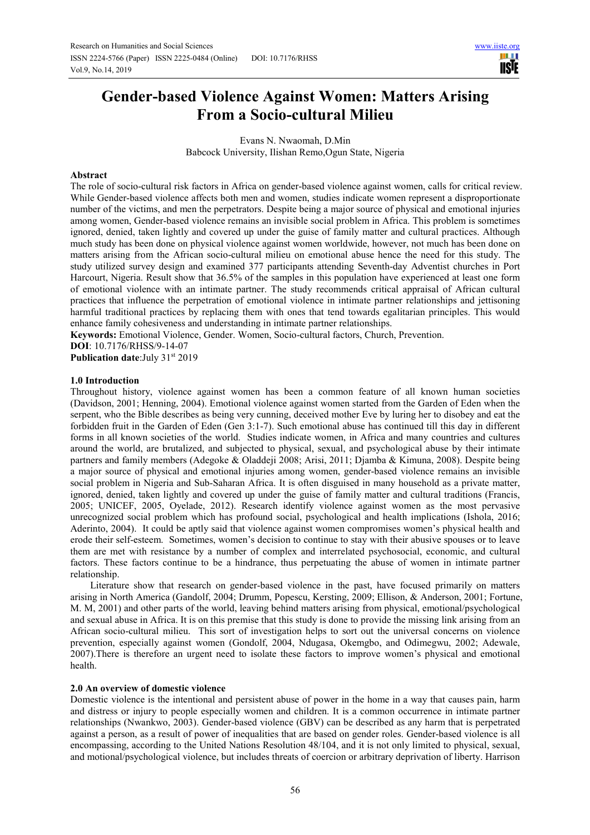# **Gender-based Violence Against Women: Matters Arising From a Socio-cultural Milieu**

Evans N. Nwaomah, D.Min Babcock University, Ilishan Remo,Ogun State, Nigeria

## **Abstract**

The role of socio-cultural risk factors in Africa on gender-based violence against women, calls for critical review. While Gender-based violence affects both men and women, studies indicate women represent a disproportionate number of the victims, and men the perpetrators. Despite being a major source of physical and emotional injuries among women, Gender-based violence remains an invisible social problem in Africa. This problem is sometimes ignored, denied, taken lightly and covered up under the guise of family matter and cultural practices. Although much study has been done on physical violence against women worldwide, however, not much has been done on matters arising from the African socio-cultural milieu on emotional abuse hence the need for this study. The study utilized survey design and examined 377 participants attending Seventh-day Adventist churches in Port Harcourt, Nigeria. Result show that 36.5% of the samples in this population have experienced at least one form of emotional violence with an intimate partner. The study recommends critical appraisal of African cultural practices that influence the perpetration of emotional violence in intimate partner relationships and jettisoning harmful traditional practices by replacing them with ones that tend towards egalitarian principles. This would enhance family cohesiveness and understanding in intimate partner relationships.

**Keywords:** Emotional Violence, Gender. Women, Socio-cultural factors, Church, Prevention. **DOI**: 10.7176/RHSS/9-14-07

**Publication date:**July 31<sup>st</sup> 2019

## **1.0 Introduction**

Throughout history, violence against women has been a common feature of all known human societies (Davidson, 2001; Henning, 2004). Emotional violence against women started from the Garden of Eden when the serpent, who the Bible describes as being very cunning, deceived mother Eve by luring her to disobey and eat the forbidden fruit in the Garden of Eden (Gen 3:1-7). Such emotional abuse has continued till this day in different forms in all known societies of the world. Studies indicate women, in Africa and many countries and cultures around the world, are brutalized, and subjected to physical, sexual, and psychological abuse by their intimate partners and family members (Adegoke & Oladdeji 2008; Arisi, 2011; Djamba & Kimuna, 2008). Despite being a major source of physical and emotional injuries among women, gender-based violence remains an invisible social problem in Nigeria and Sub-Saharan Africa. It is often disguised in many household as a private matter, ignored, denied, taken lightly and covered up under the guise of family matter and cultural traditions (Francis, 2005; UNICEF, 2005, Oyelade, 2012). Research identify violence against women as the most pervasive unrecognized social problem which has profound social, psychological and health implications (Ishola, 2016; Aderinto, 2004). It could be aptly said that violence against women compromises women's physical health and erode their self-esteem. Sometimes, women's decision to continue to stay with their abusive spouses or to leave them are met with resistance by a number of complex and interrelated psychosocial, economic, and cultural factors. These factors continue to be a hindrance, thus perpetuating the abuse of women in intimate partner relationship.

Literature show that research on gender-based violence in the past, have focused primarily on matters arising in North America (Gandolf, 2004; Drumm, Popescu, Kersting, 2009; Ellison, & Anderson, 2001; Fortune, M. M, 2001) and other parts of the world, leaving behind matters arising from physical, emotional/psychological and sexual abuse in Africa. It is on this premise that this study is done to provide the missing link arising from an African socio-cultural milieu. This sort of investigation helps to sort out the universal concerns on violence prevention, especially against women (Gondolf, 2004, Ndugasa, Okemgbo, and Odimegwu, 2002; Adewale, 2007).There is therefore an urgent need to isolate these factors to improve women's physical and emotional health.

## **2.0 An overview of domestic violence**

Domestic violence is the intentional and persistent abuse of power in the home in a way that causes pain, harm and distress or injury to people especially women and children. It is a common occurrence in intimate partner relationships (Nwankwo, 2003). Gender-based violence (GBV) can be described as any harm that is perpetrated against a person, as a result of power of inequalities that are based on gender roles. Gender-based violence is all encompassing, according to the United Nations Resolution 48/104, and it is not only limited to physical, sexual, and motional/psychological violence, but includes threats of coercion or arbitrary deprivation of liberty. Harrison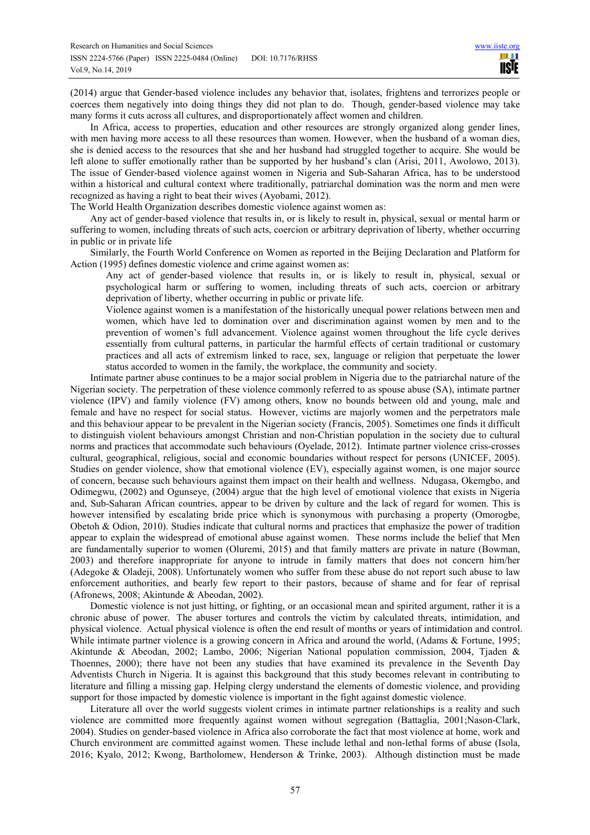(2014) argue that Gender-based violence includes any behavior that, isolates, frightens and terrorizes people or coerces them negatively into doing things they did not plan to do. Though, gender-based violence may take many forms it cuts across all cultures, and disproportionately affect women and children.

In Africa, access to properties, education and other resources are strongly organized along gender lines, with men having more access to all these resources than women. However, when the husband of a woman dies, she is denied access to the resources that she and her husband had struggled together to acquire. She would be left alone to suffer emotionally rather than be supported by her husband's clan (Arisi, 2011, Awolowo, 2013). The issue of Gender-based violence against women in Nigeria and Sub-Saharan Africa, has to be understood within a historical and cultural context where traditionally, patriarchal domination was the norm and men were recognized as having a right to beat their wives (Ayobami, 2012).

The World Health Organization describes domestic violence against women as:

Any act of gender-based violence that results in, or is likely to result in, physical, sexual or mental harm or suffering to women, including threats of such acts, coercion or arbitrary deprivation of liberty, whether occurring in public or in private life

Similarly, the Fourth World Conference on Women as reported in the Beijing Declaration and Platform for Action (1995) defines domestic violence and crime against women as:

Any act of gender-based violence that results in, or is likely to result in, physical, sexual or psychological harm or suffering to women, including threats of such acts, coercion or arbitrary deprivation of liberty, whether occurring in public or private life.

Violence against women is a manifestation of the historically unequal power relations between men and women, which have led to domination over and discrimination against women by men and to the prevention of women's full advancement. Violence against women throughout the life cycle derives essentially from cultural patterns, in particular the harmful effects of certain traditional or customary practices and all acts of extremism linked to race, sex, language or religion that perpetuate the lower status accorded to women in the family, the workplace, the community and society.

Intimate partner abuse continues to be a major social problem in Nigeria due to the patriarchal nature of the Nigerian society. The perpetration of these violence commonly referred to as spouse abuse (SA), intimate partner violence (IPV) and family violence (FV) among others, know no bounds between old and young, male and female and have no respect for social status. However, victims are majorly women and the perpetrators male and this behaviour appear to be prevalent in the Nigerian society (Francis, 2005). Sometimes one finds it difficult to distinguish violent behaviours amongst Christian and non-Christian population in the society due to cultural norms and practices that accommodate such behaviours (Oyelade, 2012). Intimate partner violence criss-crosses cultural, geographical, religious, social and economic boundaries without respect for persons (UNICEF, 2005). Studies on gender violence, show that emotional violence (EV), especially against women, is one major source of concern, because such behaviours against them impact on their health and wellness. Ndugasa, Okemgbo, and Odimegwu, (2002) and Ogunseye, (2004) argue that the high level of emotional violence that exists in Nigeria and, Sub-Saharan African countries, appear to be driven by culture and the lack of regard for women. This is however intensified by escalating bride price which is synonymous with purchasing a property (Omorogbe, Obetoh & Odion, 2010). Studies indicate that cultural norms and practices that emphasize the power of tradition appear to explain the widespread of emotional abuse against women. These norms include the belief that Men are fundamentally superior to women (Oluremi, 2015) and that family matters are private in nature (Bowman, 2003) and therefore inappropriate for anyone to intrude in family matters that does not concern him/her (Adegoke & Oladeji, 2008). Unfortunately women who suffer from these abuse do not report such abuse to law enforcement authorities, and bearly few report to their pastors, because of shame and for fear of reprisal (Afronews, 2008; Akintunde & Abeodan, 2002).

Domestic violence is not just hitting, or fighting, or an occasional mean and spirited argument, rather it is a chronic abuse of power. The abuser tortures and controls the victim by calculated threats, intimidation, and physical violence. Actual physical violence is often the end result of months or years of intimidation and control. While intimate partner violence is a growing concern in Africa and around the world, (Adams & Fortune, 1995; Akintunde & Abeodan, 2002; Lambo, 2006; Nigerian National population commission, 2004, Tjaden & Thoennes, 2000); there have not been any studies that have examined its prevalence in the Seventh Day Adventists Church in Nigeria. It is against this background that this study becomes relevant in contributing to literature and filling a missing gap. Helping clergy understand the elements of domestic violence, and providing support for those impacted by domestic violence is important in the fight against domestic violence.

Literature all over the world suggests violent crimes in intimate partner relationships is a reality and such violence are committed more frequently against women without segregation (Battaglia, 2001;Nason-Clark, 2004). Studies on gender-based violence in Africa also corroborate the fact that most violence at home, work and Church environment are committed against women. These include lethal and non-lethal forms of abuse (Isola, 2016; Kyalo, 2012; Kwong, Bartholomew, Henderson & Trinke, 2003). Although distinction must be made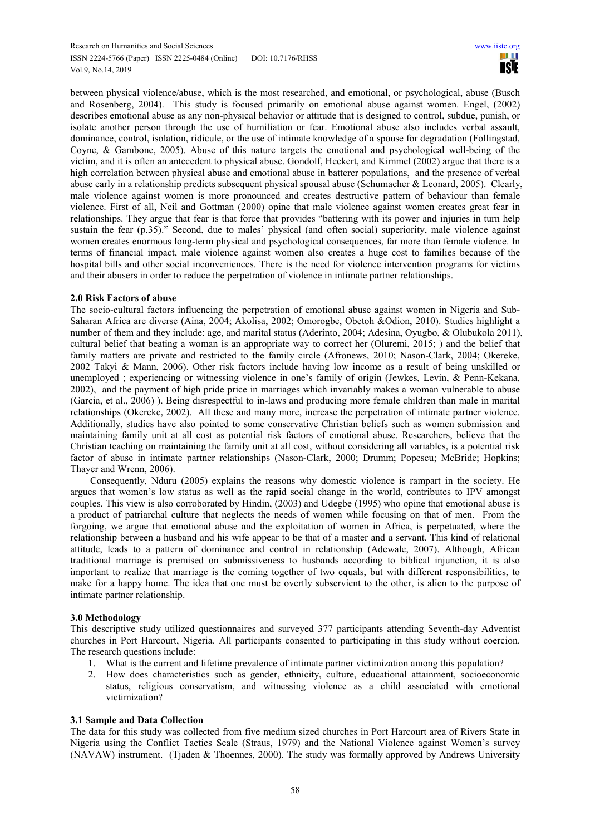between physical violence/abuse, which is the most researched, and emotional, or psychological, abuse (Busch and Rosenberg, 2004). This study is focused primarily on emotional abuse against women. Engel, (2002) describes emotional abuse as any non-physical behavior or attitude that is designed to control, subdue, punish, or isolate another person through the use of humiliation or fear. Emotional abuse also includes verbal assault, dominance, control, isolation, ridicule, or the use of intimate knowledge of a spouse for degradation (Follingstad, Coyne, & Gambone, 2005). Abuse of this nature targets the emotional and psychological well-being of the victim, and it is often an antecedent to physical abuse. Gondolf, Heckert, and Kimmel (2002) argue that there is a high correlation between physical abuse and emotional abuse in batterer populations, and the presence of verbal abuse early in a relationship predicts subsequent physical spousal abuse (Schumacher & Leonard, 2005). Clearly, male violence against women is more pronounced and creates destructive pattern of behaviour than female violence. First of all, Neil and Gottman (2000) opine that male violence against women creates great fear in relationships. They argue that fear is that force that provides "battering with its power and injuries in turn help sustain the fear (p.35)." Second, due to males' physical (and often social) superiority, male violence against women creates enormous long-term physical and psychological consequences, far more than female violence. In terms of financial impact, male violence against women also creates a huge cost to families because of the hospital bills and other social inconveniences. There is the need for violence intervention programs for victims and their abusers in order to reduce the perpetration of violence in intimate partner relationships.

# **2.0 Risk Factors of abuse**

The socio-cultural factors influencing the perpetration of emotional abuse against women in Nigeria and Sub-Saharan Africa are diverse (Aina, 2004; Akolisa, 2002; Omorogbe, Obetoh &Odion, 2010). Studies highlight a number of them and they include: age, and marital status (Aderinto, 2004; Adesina, Oyugbo, & Olubukola 2011), cultural belief that beating a woman is an appropriate way to correct her (Oluremi, 2015; ) and the belief that family matters are private and restricted to the family circle (Afronews, 2010; Nason-Clark, 2004; Okereke, 2002 Takyi & Mann, 2006). Other risk factors include having low income as a result of being unskilled or unemployed ; experiencing or witnessing violence in one's family of origin (Jewkes, Levin, & Penn-Kekana, 2002), and the payment of high pride price in marriages which invariably makes a woman vulnerable to abuse (Garcia, et al., 2006) ). Being disrespectful to in-laws and producing more female children than male in marital relationships (Okereke, 2002). All these and many more, increase the perpetration of intimate partner violence. Additionally, studies have also pointed to some conservative Christian beliefs such as women submission and maintaining family unit at all cost as potential risk factors of emotional abuse. Researchers, believe that the Christian teaching on maintaining the family unit at all cost, without considering all variables, is a potential risk factor of abuse in intimate partner relationships (Nason-Clark, 2000; Drumm; Popescu; McBride; Hopkins; Thayer and Wrenn, 2006).

Consequently, Nduru (2005) explains the reasons why domestic violence is rampart in the society. He argues that women's low status as well as the rapid social change in the world, contributes to IPV amongst couples. This view is also corroborated by Hindin, (2003) and Udegbe (1995) who opine that emotional abuse is a product of patriarchal culture that neglects the needs of women while focusing on that of men. From the forgoing, we argue that emotional abuse and the exploitation of women in Africa, is perpetuated, where the relationship between a husband and his wife appear to be that of a master and a servant. This kind of relational attitude, leads to a pattern of dominance and control in relationship (Adewale, 2007). Although, African traditional marriage is premised on submissiveness to husbands according to biblical injunction, it is also important to realize that marriage is the coming together of two equals, but with different responsibilities, to make for a happy home. The idea that one must be overtly subservient to the other, is alien to the purpose of intimate partner relationship.

#### **3.0 Methodology**

This descriptive study utilized questionnaires and surveyed 377 participants attending Seventh-day Adventist churches in Port Harcourt, Nigeria. All participants consented to participating in this study without coercion. The research questions include:

- 1. What is the current and lifetime prevalence of intimate partner victimization among this population?
- 2. How does characteristics such as gender, ethnicity, culture, educational attainment, socioeconomic status, religious conservatism, and witnessing violence as a child associated with emotional victimization?

#### **3.1 Sample and Data Collection**

The data for this study was collected from five medium sized churches in Port Harcourt area of Rivers State in Nigeria using the Conflict Tactics Scale (Straus, 1979) and the National Violence against Women's survey (NAVAW) instrument. (Tjaden & Thoennes, 2000). The study was formally approved by Andrews University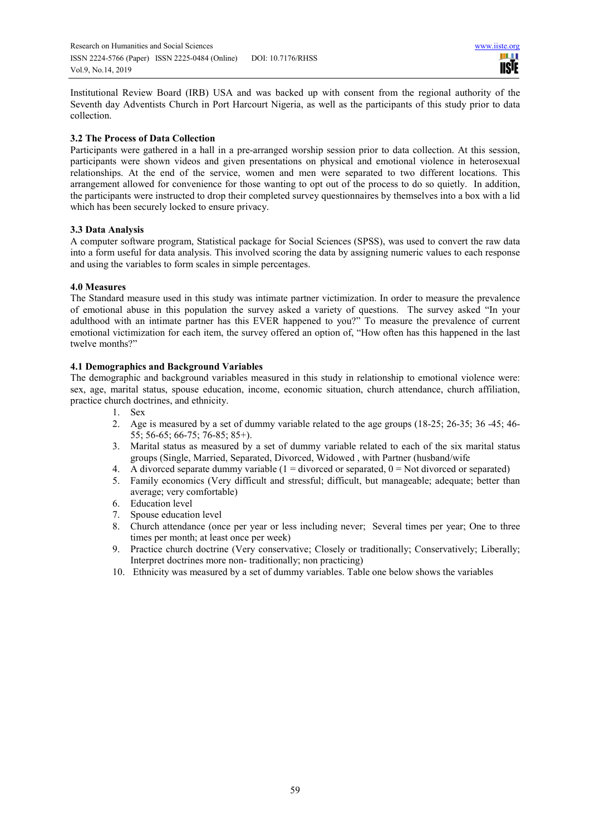Institutional Review Board (IRB) USA and was backed up with consent from the regional authority of the Seventh day Adventists Church in Port Harcourt Nigeria, as well as the participants of this study prior to data collection.

# **3.2 The Process of Data Collection**

Participants were gathered in a hall in a pre-arranged worship session prior to data collection. At this session, participants were shown videos and given presentations on physical and emotional violence in heterosexual relationships. At the end of the service, women and men were separated to two different locations. This arrangement allowed for convenience for those wanting to opt out of the process to do so quietly. In addition, the participants were instructed to drop their completed survey questionnaires by themselves into a box with a lid which has been securely locked to ensure privacy.

# **3.3 Data Analysis**

A computer software program, Statistical package for Social Sciences (SPSS), was used to convert the raw data into a form useful for data analysis. This involved scoring the data by assigning numeric values to each response and using the variables to form scales in simple percentages.

# **4.0 Measures**

The Standard measure used in this study was intimate partner victimization. In order to measure the prevalence of emotional abuse in this population the survey asked a variety of questions. The survey asked "In your adulthood with an intimate partner has this EVER happened to you?" To measure the prevalence of current emotional victimization for each item, the survey offered an option of, "How often has this happened in the last twelve months?"

# **4.1 Demographics and Background Variables**

The demographic and background variables measured in this study in relationship to emotional violence were: sex, age, marital status, spouse education, income, economic situation, church attendance, church affiliation, practice church doctrines, and ethnicity.

- 1. Sex
- 2. Age is measured by a set of dummy variable related to the age groups (18-25; 26-35; 36 -45; 46- 55; 56-65; 66-75; 76-85; 85+).
- 3. Marital status as measured by a set of dummy variable related to each of the six marital status groups (Single, Married, Separated, Divorced, Widowed , with Partner (husband/wife
- 4. A divorced separate dummy variable  $(1 = \text{divorced or separated}, 0 = \text{Not divorced or separated})$
- 5. Family economics (Very difficult and stressful; difficult, but manageable; adequate; better than average; very comfortable)
- 6. Education level
- 7. Spouse education level
- 8. Church attendance (once per year or less including never; Several times per year; One to three times per month; at least once per week)
- 9. Practice church doctrine (Very conservative; Closely or traditionally; Conservatively; Liberally; Interpret doctrines more non- traditionally; non practicing)
- 10. Ethnicity was measured by a set of dummy variables. Table one below shows the variables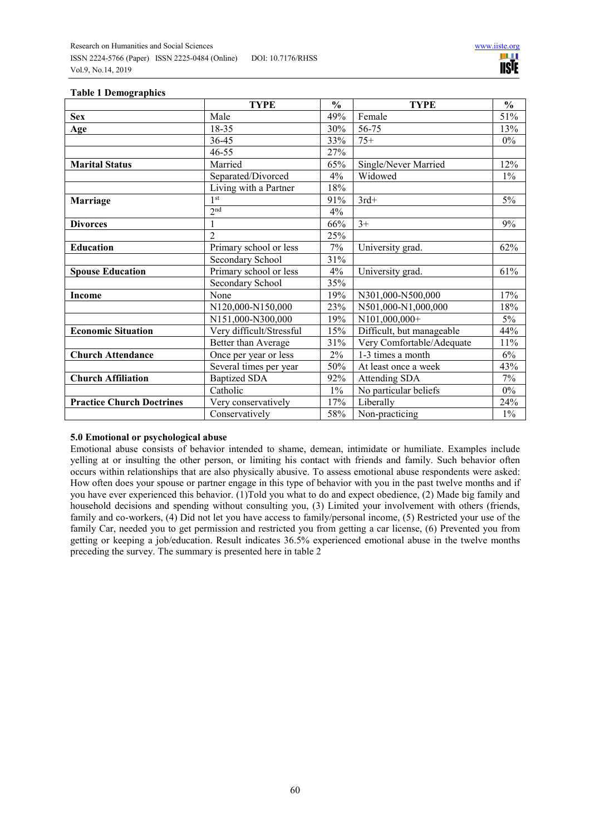| таны тысшедтаршы                 | <b>TYPE</b>              | $\frac{0}{0}$ | <b>TYPE</b>               | $\frac{0}{0}$ |
|----------------------------------|--------------------------|---------------|---------------------------|---------------|
| <b>Sex</b>                       | Male                     | 49%           | Female                    | 51%           |
| <b>Age</b>                       | 18-35                    | 30%           | 56-75                     | 13%           |
|                                  | 36-45                    | 33%           | $75+$                     | $0\%$         |
|                                  | $46 - 55$                | 27%           |                           |               |
| <b>Marital Status</b>            | Married                  | 65%           | Single/Never Married      | 12%           |
|                                  | Separated/Divorced       | 4%            | Widowed                   | $1\%$         |
|                                  | Living with a Partner    | 18%           |                           |               |
| <b>Marriage</b>                  | 1 <sup>st</sup>          | 91%           | $3rd+$                    | $5\%$         |
|                                  | 2 <sup>nd</sup>          | 4%            |                           |               |
| <b>Divorces</b>                  |                          | 66%           | $3+$                      | 9%            |
|                                  | $\mathfrak{D}$           | 25%           |                           |               |
| <b>Education</b>                 | Primary school or less   | 7%            | University grad.          | 62%           |
|                                  | Secondary School         | 31%           |                           |               |
| <b>Spouse Education</b>          | Primary school or less   | 4%            | University grad.          | 61%           |
|                                  | Secondary School         | 35%           |                           |               |
| <b>Income</b>                    | None                     | 19%           | N301,000-N500,000         | 17%           |
|                                  | N120,000-N150,000        | 23%           | N501,000-N1,000,000       | 18%           |
|                                  | N151,000-N300,000        | 19%           | N101,000,000+             | $5\%$         |
| <b>Economic Situation</b>        | Very difficult/Stressful | 15%           | Difficult, but manageable | 44%           |
|                                  | Better than Average      | 31%           | Very Comfortable/Adequate | 11%           |
| <b>Church Attendance</b>         | Once per year or less    | 2%            | 1-3 times a month         | $6\%$         |
|                                  | Several times per year   | 50%           | At least once a week      | 43%           |
| <b>Church Affiliation</b>        | <b>Baptized SDA</b>      | 92%           | Attending SDA             |               |
|                                  | Catholic                 | $1\%$         | No particular beliefs     | $0\%$         |
| <b>Practice Church Doctrines</b> | Very conservatively      | 17%           | Liberally                 | 24%           |
|                                  | Conservatively           | 58%           | Non-practicing            | $1\%$         |

## **Table 1 Demographics**

# **5.0 Emotional or psychological abuse**

Emotional abuse consists of behavior intended to shame, demean, intimidate or humiliate. Examples include yelling at or insulting the other person, or limiting his contact with friends and family. Such behavior often occurs within relationships that are also physically abusive. To assess emotional abuse respondents were asked: How often does your spouse or partner engage in this type of behavior with you in the past twelve months and if you have ever experienced this behavior. (1)Told you what to do and expect obedience, (2) Made big family and household decisions and spending without consulting you, (3) Limited your involvement with others (friends, family and co-workers, (4) Did not let you have access to family/personal income, (5) Restricted your use of the family Car, needed you to get permission and restricted you from getting a car license, (6) Prevented you from getting or keeping a job/education. Result indicates 36.5% experienced emotional abuse in the twelve months preceding the survey. The summary is presented here in table 2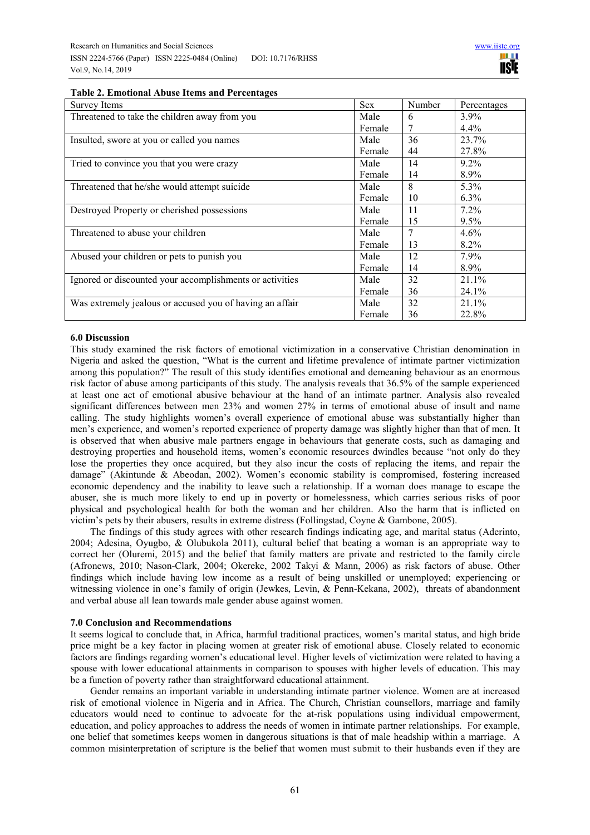| Survey Items                                             |        | Number | Percentages |
|----------------------------------------------------------|--------|--------|-------------|
| Threatened to take the children away from you            | Male   | 6      | $3.9\%$     |
|                                                          | Female |        | 4.4%        |
| Insulted, swore at you or called you names               | Male   | 36     | 23.7%       |
|                                                          | Female | 44     | 27.8%       |
| Tried to convince you that you were crazy                | Male   | 14     | $9.2\%$     |
|                                                          | Female | 14     | 8.9%        |
| Threatened that he/she would attempt suicide             | Male   | 8      | 5.3%        |
|                                                          | Female | 10     | $6.3\%$     |
| Destroyed Property or cherished possessions              | Male   | 11     | 7.2%        |
|                                                          | Female | 15     | $9.5\%$     |
| Threatened to abuse your children                        | Male   | 7      | 4.6%        |
|                                                          | Female | 13     | 8.2%        |
| Abused your children or pets to punish you               | Male   | 12     | 7.9%        |
|                                                          | Female | 14     | 8.9%        |
| Ignored or discounted your accomplishments or activities | Male   | 32     | 21.1%       |
|                                                          | Female | 36     | 24.1%       |
| Was extremely jealous or accused you of having an affair | Male   | 32     | 21.1%       |
|                                                          | Female | 36     | 22.8%       |

#### **Table 2. Emotional Abuse Items and Percentages**

#### **6.0 Discussion**

This study examined the risk factors of emotional victimization in a conservative Christian denomination in Nigeria and asked the question, "What is the current and lifetime prevalence of intimate partner victimization among this population?" The result of this study identifies emotional and demeaning behaviour as an enormous risk factor of abuse among participants of this study. The analysis reveals that 36.5% of the sample experienced at least one act of emotional abusive behaviour at the hand of an intimate partner. Analysis also revealed significant differences between men 23% and women 27% in terms of emotional abuse of insult and name calling. The study highlights women's overall experience of emotional abuse was substantially higher than men's experience, and women's reported experience of property damage was slightly higher than that of men. It is observed that when abusive male partners engage in behaviours that generate costs, such as damaging and destroying properties and household items, women's economic resources dwindles because "not only do they lose the properties they once acquired, but they also incur the costs of replacing the items, and repair the damage" (Akintunde & Abeodan, 2002). Women's economic stability is compromised, fostering increased economic dependency and the inability to leave such a relationship. If a woman does manage to escape the abuser, she is much more likely to end up in poverty or homelessness, which carries serious risks of poor physical and psychological health for both the woman and her children. Also the harm that is inflicted on victim's pets by their abusers, results in extreme distress (Follingstad, Coyne & Gambone, 2005).

The findings of this study agrees with other research findings indicating age, and marital status (Aderinto, 2004; Adesina, Oyugbo, & Olubukola 2011), cultural belief that beating a woman is an appropriate way to correct her (Oluremi, 2015) and the belief that family matters are private and restricted to the family circle (Afronews, 2010; Nason-Clark, 2004; Okereke, 2002 Takyi & Mann, 2006) as risk factors of abuse. Other findings which include having low income as a result of being unskilled or unemployed; experiencing or witnessing violence in one's family of origin (Jewkes, Levin, & Penn-Kekana, 2002), threats of abandonment and verbal abuse all lean towards male gender abuse against women.

#### **7.0 Conclusion and Recommendations**

It seems logical to conclude that, in Africa, harmful traditional practices, women's marital status, and high bride price might be a key factor in placing women at greater risk of emotional abuse. Closely related to economic factors are findings regarding women's educational level. Higher levels of victimization were related to having a spouse with lower educational attainments in comparison to spouses with higher levels of education. This may be a function of poverty rather than straightforward educational attainment.

Gender remains an important variable in understanding intimate partner violence. Women are at increased risk of emotional violence in Nigeria and in Africa. The Church, Christian counsellors, marriage and family educators would need to continue to advocate for the at-risk populations using individual empowerment, education, and policy approaches to address the needs of women in intimate partner relationships. For example, one belief that sometimes keeps women in dangerous situations is that of male headship within a marriage. A common misinterpretation of scripture is the belief that women must submit to their husbands even if they are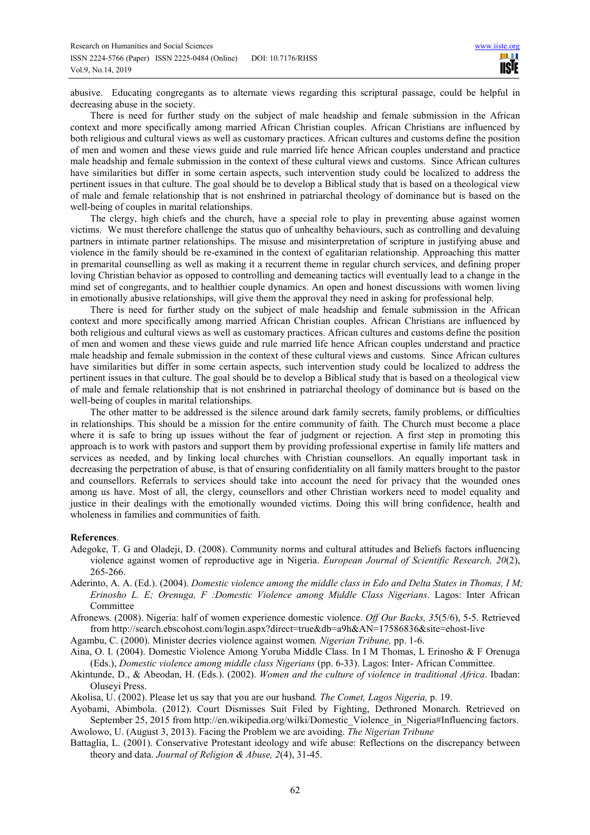abusive. Educating congregants as to alternate views regarding this scriptural passage, could be helpful in decreasing abuse in the society.

There is need for further study on the subject of male headship and female submission in the African context and more specifically among married African Christian couples. African Christians are influenced by both religious and cultural views as well as customary practices. African cultures and customs define the position of men and women and these views guide and rule married life hence African couples understand and practice male headship and female submission in the context of these cultural views and customs. Since African cultures have similarities but differ in some certain aspects, such intervention study could be localized to address the pertinent issues in that culture. The goal should be to develop a Biblical study that is based on a theological view of male and female relationship that is not enshrined in patriarchal theology of dominance but is based on the well-being of couples in marital relationships.

The clergy, high chiefs and the church, have a special role to play in preventing abuse against women victims. We must therefore challenge the status quo of unhealthy behaviours, such as controlling and devaluing partners in intimate partner relationships. The misuse and misinterpretation of scripture in justifying abuse and violence in the family should be re-examined in the context of egalitarian relationship. Approaching this matter in premarital counselling as well as making it a recurrent theme in regular church services, and defining proper loving Christian behavior as opposed to controlling and demeaning tactics will eventually lead to a change in the mind set of congregants, and to healthier couple dynamics. An open and honest discussions with women living in emotionally abusive relationships, will give them the approval they need in asking for professional help.

There is need for further study on the subject of male headship and female submission in the African context and more specifically among married African Christian couples. African Christians are influenced by both religious and cultural views as well as customary practices. African cultures and customs define the position of men and women and these views guide and rule married life hence African couples understand and practice male headship and female submission in the context of these cultural views and customs. Since African cultures have similarities but differ in some certain aspects, such intervention study could be localized to address the pertinent issues in that culture. The goal should be to develop a Biblical study that is based on a theological view of male and female relationship that is not enshrined in patriarchal theology of dominance but is based on the well-being of couples in marital relationships.

The other matter to be addressed is the silence around dark family secrets, family problems, or difficulties in relationships. This should be a mission for the entire community of faith. The Church must become a place where it is safe to bring up issues without the fear of judgment or rejection. A first step in promoting this approach is to work with pastors and support them by providing professional expertise in family life matters and services as needed, and by linking local churches with Christian counsellors. An equally important task in decreasing the perpetration of abuse, is that of ensuring confidentiality on all family matters brought to the pastor and counsellors. Referrals to services should take into account the need for privacy that the wounded ones among us have. Most of all, the clergy, counsellors and other Christian workers need to model equality and justice in their dealings with the emotionally wounded victims. Doing this will bring confidence, health and wholeness in families and communities of faith.

#### **References**.

- Adegoke, T. G and Oladeji, D. (2008). Community norms and cultural attitudes and Beliefs factors influencing violence against women of reproductive age in Nigeria. *European Journal of Scientific Research, 20*(2), 265-266.
- Aderinto, A. A. (Ed.). (2004). *Domestic violence among the middle class in Edo and Delta States in Thomas, I M; Erinosho L. E; Orenuga, F :Domestic Violence among Middle Class Nigerians*. Lagos: Inter African Committee

Afronews. (2008). Nigeria: half of women experience domestic violence. *Off Our Backs, 35*(5/6), 5-5. Retrieved from http://search.ebscohost.com/login.aspx?direct=true&db=a9h&AN=17586836&site=ehost-live

Agambu, C. (2000). Minister decries violence against women*. Nigerian Tribune,* pp. 1-6.

Aina, O. I. (2004). Domestic Violence Among Yoruba Middle Class. In I M Thomas, L Erinosho & F Orenuga (Eds.), *Domestic violence among middle class Nigerians* (pp. 6-33). Lagos: Inter- African Committee.

Akintunde, D., & Abeodan, H. (Eds.). (2002). *Women and the culture of violence in traditional Africa*. Ibadan: Oluseyi Press.

Akolisa, U. (2002). Please let us say that you are our husband*. The Comet, Lagos Nigeria,* p. 19.

Ayobami, Abimbola. (2012). Court Dismisses Suit Filed by Fighting, Dethroned Monarch. Retrieved on September 25, 2015 from http://en.wikipedia.org/wilki/Domestic Violence in Nigeria#Influencing factors. Awolowo, U. (August 3, 2013). Facing the Problem we are avoiding. *The Nigerian Tribune*

Battaglia, L. (2001). Conservative Protestant ideology and wife abuse: Reflections on the discrepancy between theory and data. *Journal of Religion & Abuse, 2*(4), 31-45.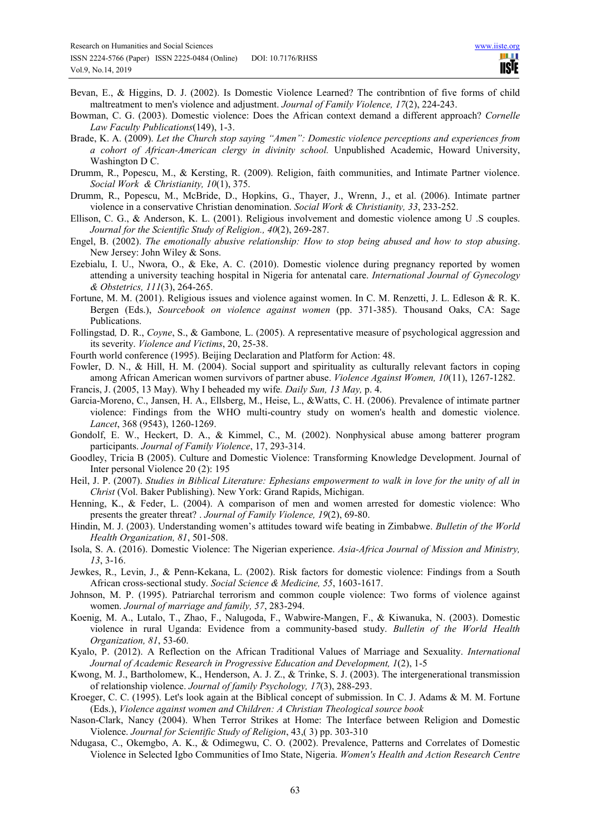- Bevan, E., & Higgins, D. J. (2002). Is Domestic Violence Learned? The contribntion of five forms of child maltreatment to men's violence and adjustment. *Journal of Family Violence, 17*(2), 224-243.
- Bowman, C. G. (2003). Domestic violence: Does the African context demand a different approach? *Cornelle Law Faculty Publications*(149), 1-3.
- Brade, K. A. (2009). *Let the Church stop saying "Amen": Domestic violence perceptions and experiences from a cohort of African-American clergy in divinity school.* Unpublished Academic, Howard University, Washington D C.
- Drumm, R., Popescu, M., & Kersting, R. (2009). Religion, faith communities, and Intimate Partner violence. *Social Work & Christianity, 10*(1), 375.
- Drumm, R., Popescu, M., McBride, D., Hopkins, G., Thayer, J., Wrenn, J., et al. (2006). Intimate partner violence in a conservative Christian denomination. *Social Work & Christianity, 33*, 233-252.
- Ellison, C. G., & Anderson, K. L. (2001). Religious involvement and domestic violence among U .S couples. *Journal for the Scientific Study of Religion., 40*(2), 269-287.
- Engel, B. (2002). *The emotionally abusive relationship: How to stop being abused and how to stop abusing*. New Jersey: John Wiley & Sons.
- Ezebialu, I. U., Nwora, O., & Eke, A. C. (2010). Domestic violence during pregnancy reported by women attending a university teaching hospital in Nigeria for antenatal care. *International Journal of Gynecology & Obstetrics, 111*(3), 264-265.
- Fortune, M. M. (2001). Religious issues and violence against women. In C. M. Renzetti, J. L. Edleson & R. K. Bergen (Eds.), *Sourcebook on violence against women* (pp. 371-385). Thousand Oaks, CA: Sage Publications.
- Follingstad*,* D. R., *Coyne*, S., & Gambone*,* L. (2005). A representative measure of psychological aggression and its severity. *Violence and Victims*, 20, 25-38.
- Fourth world conference (1995). Beijing Declaration and Platform for Action: 48.
- Fowler, D. N., & Hill, H. M. (2004). Social support and spirituality as culturally relevant factors in coping among African American women survivors of partner abuse. *Violence Against Women, 10*(11), 1267-1282.
- Francis, J. (2005, 13 May). Why I beheaded my wife*. Daily Sun, 13 May,* p. 4.
- Garcia-Moreno, C., Jansen, H. A., Ellsberg, M., Heise, L., &Watts, C. H. (2006). Prevalence of intimate partner violence: Findings from the WHO multi-country study on women's health and domestic violence. *Lancet*, 368 (9543), 1260-1269.
- Gondolf, E. W., Heckert, D. A., & Kimmel, C., M. (2002). Nonphysical abuse among batterer program participants. *Journal of Family Violence*, 17, 293-314.
- Goodley, Tricia B (2005). Culture and Domestic Violence: Transforming Knowledge Development. Journal of Inter personal Violence 20 (2): 195
- Heil, J. P. (2007). *Studies in Biblical Literature: Ephesians empowerment to walk in love for the unity of all in Christ* (Vol. Baker Publishing). New York: Grand Rapids, Michigan.
- Henning, K., & Feder, L. (2004). A comparison of men and women arrested for domestic violence: Who presents the greater threat? . *Journal of Family Violence, 19*(2), 69-80.
- Hindin, M. J. (2003). Understanding women's attitudes toward wife beating in Zimbabwe. *Bulletin of the World Health Organization, 81*, 501-508.
- Isola, S. A. (2016). Domestic Violence: The Nigerian experience. *Asia-Africa Journal of Mission and Ministry, 13*, 3-16.
- Jewkes, R., Levin, J., & Penn-Kekana, L. (2002). Risk factors for domestic violence: Findings from a South African cross-sectional study. *Social Science & Medicine, 55*, 1603-1617.
- Johnson, M. P. (1995). Patriarchal terrorism and common couple violence: Two forms of violence against women. *Journal of marriage and family, 57*, 283-294.
- Koenig, M. A., Lutalo, T., Zhao, F., Nalugoda, F., Wabwire-Mangen, F., & Kiwanuka, N. (2003). Domestic violence in rural Uganda: Evidence from a community-based study. *Bulletin of the World Health Organization, 81*, 53-60.
- Kyalo, P. (2012). A Reflection on the African Traditional Values of Marriage and Sexuality. *International Journal of Academic Research in Progressive Education and Development, 1*(2), 1-5
- Kwong, M. J., Bartholomew, K., Henderson, A. J. Z., & Trinke, S. J. (2003). The intergenerational transmission of relationship violence. *Journal of family Psychology, 17*(3), 288-293.
- Kroeger, C. C. (1995). Let's look again at the Biblical concept of submission. In C. J. Adams & M. M. Fortune (Eds.), *Violence against women and Children: A Christian Theological source book*
- Nason-Clark, Nancy (2004). When Terror Strikes at Home: The Interface between Religion and Domestic Violence. *Journal for Scientific Study of Religion*, 43,( 3) pp. 303-310
- Ndugasa, C., Okemgbo, A. K., & Odimegwu, C. O. (2002). Prevalence, Patterns and Correlates of Domestic Violence in Selected Igbo Communities of Imo State, Nigeria. *Women's Health and Action Research Centre*